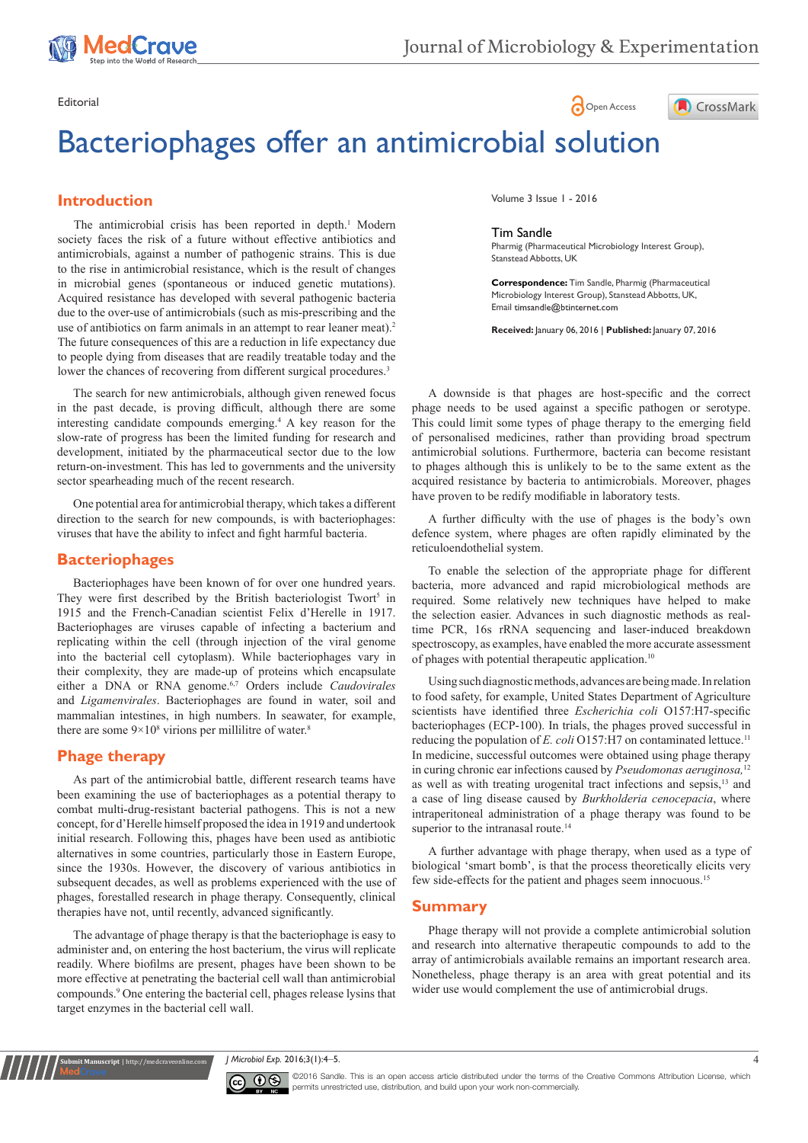

# Bacteriophages offer an antimicrobial solution

# **Introduction**

The antimicrobial crisis has been reported in depth.<sup>1</sup> Modern society faces the risk of a future without effective antibiotics and antimicrobials, against a number of pathogenic strains. This is due to the rise in antimicrobial resistance, which is the result of changes in microbial genes (spontaneous or induced genetic mutations). Acquired resistance has developed with several pathogenic bacteria due to the over-use of antimicrobials (such as mis-prescribing and the use of antibiotics on farm animals in an attempt to rear leaner meat).<sup>2</sup> The future consequences of this are a reduction in life expectancy due to people dying from diseases that are readily treatable today and the lower the chances of recovering from different surgical procedures.<sup>3</sup>

The search for new antimicrobials, although given renewed focus in the past decade, is proving difficult, although there are some interesting candidate compounds emerging.4 A key reason for the slow-rate of progress has been the limited funding for research and development, initiated by the pharmaceutical sector due to the low return-on-investment. This has led to governments and the university sector spearheading much of the recent research.

One potential area for antimicrobial therapy, which takes a different direction to the search for new compounds, is with bacteriophages: viruses that have the ability to infect and fight harmful bacteria.

## **Bacteriophages**

Bacteriophages have been known of for over one hundred years. They were first described by the British bacteriologist Twort<sup>5</sup> in 1915 and the French-Canadian scientist Felix d'Herelle in 1917. Bacteriophages are viruses capable of infecting a bacterium and replicating within the cell (through injection of the viral genome into the bacterial cell cytoplasm). While bacteriophages vary in their complexity, they are made-up of proteins which encapsulate either a DNA or RNA genome.<sup>6,7</sup> Orders include *Caudovirales* and *Ligamenvirales*. Bacteriophages are found in water, soil and mammalian intestines, in high numbers. In seawater, for example, there are some  $9 \times 10^8$  virions per millilitre of water.<sup>8</sup>

# **Phage therapy**

**nit Manuscript** | http://medcraveonline.

As part of the antimicrobial battle, different research teams have been examining the use of bacteriophages as a potential therapy to combat multi-drug-resistant bacterial pathogens. This is not a new concept, for d'Herelle himself proposed the idea in 1919 and undertook initial research. Following this, phages have been used as antibiotic alternatives in some countries, particularly those in Eastern Europe, since the 1930s. However, the discovery of various antibiotics in subsequent decades, as well as problems experienced with the use of phages, forestalled research in phage therapy. Consequently, clinical therapies have not, until recently, advanced significantly.

The advantage of phage therapy is that the bacteriophage is easy to administer and, on entering the host bacterium, the virus will replicate readily. Where biofilms are present, phages have been shown to be more effective at penetrating the bacterial cell wall than antimicrobial compounds.9 One entering the bacterial cell, phages release lysins that target enzymes in the bacterial cell wall.





Volume 3 Issue 1 - 2016

#### Tim Sandle

Pharmig (Pharmaceutical Microbiology Interest Group), Stanstead Abbotts, UK

**Correspondence:** Tim Sandle, Pharmig (Pharmaceutical Microbiology Interest Group), Stanstead Abbotts, UK, Email timsandle@btinternet.com

**Received:** January 06, 2016 | **Published:** January 07, 2016

A downside is that phages are host-specific and the correct phage needs to be used against a specific pathogen or serotype. This could limit some types of phage therapy to the emerging field of personalised medicines, rather than providing broad spectrum antimicrobial solutions. Furthermore, bacteria can become resistant to phages although this is unlikely to be to the same extent as the acquired resistance by bacteria to antimicrobials. Moreover, phages have proven to be redify modifiable in laboratory tests.

A further difficulty with the use of phages is the body's own defence system, where phages are often rapidly eliminated by the reticuloendothelial system.

To enable the selection of the appropriate phage for different bacteria, more advanced and rapid microbiological methods are required. Some relatively new techniques have helped to make the selection easier. Advances in such diagnostic methods as realtime PCR, 16s rRNA sequencing and laser-induced breakdown spectroscopy, as examples, have enabled the more accurate assessment of phages with potential therapeutic application.10

Using such diagnostic methods, advances are being made. In relation to food safety, for example, United States Department of Agriculture scientists have identified three *Escherichia coli* O157:H7-specific bacteriophages (ECP-100). In trials, the phages proved successful in reducing the population of *E. coli* O157:H7 on contaminated lettuce.<sup>11</sup> In medicine, successful outcomes were obtained using phage therapy in curing chronic ear infections caused by *Pseudomonas aeruginosa,*<sup>12</sup> as well as with treating urogenital tract infections and sepsis,13 and a case of ling disease caused by *Burkholderia cenocepacia*, where intraperitoneal administration of a phage therapy was found to be superior to the intranasal route.<sup>14</sup>

A further advantage with phage therapy, when used as a type of biological 'smart bomb', is that the process theoretically elicits very few side-effects for the patient and phages seem innocuous.<sup>15</sup>

## **Summary**

Phage therapy will not provide a complete antimicrobial solution and research into alternative therapeutic compounds to add to the array of antimicrobials available remains an important research area. Nonetheless, phage therapy is an area with great potential and its wider use would complement the use of antimicrobial drugs.

*J Microbiol Exp.* 2016;3(1):4‒5. 4



©2016 Sandle. This is an open access article distributed under the terms of the [Creative Commons Attribution License,](https://creativecommons.org/licenses/by-nc/4.0/) which permits unrestricted use, distribution, and build upon your work non-commercially.